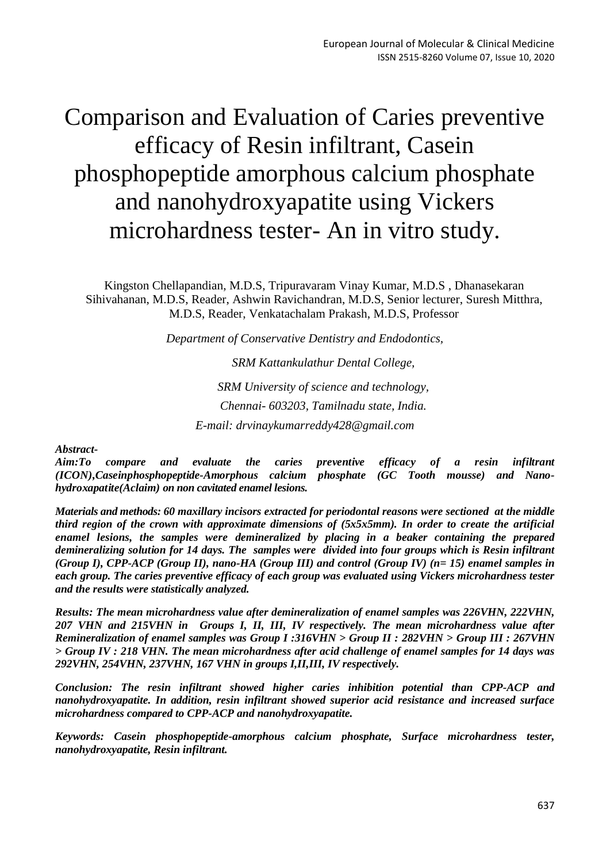# Comparison and Evaluation of Caries preventive efficacy of Resin infiltrant, Casein phosphopeptide amorphous calcium phosphate and nanohydroxyapatite using Vickers microhardness tester- An in vitro study.

Kingston Chellapandian, M.D.S, Tripuravaram Vinay Kumar, M.D.S , Dhanasekaran Sihivahanan, M.D.S, Reader, Ashwin Ravichandran, M.D.S, Senior lecturer, Suresh Mitthra, M.D.S, Reader, Venkatachalam Prakash, M.D.S, Professor

*Department of Conservative Dentistry and Endodontics,*

*SRM Kattankulathur Dental College, SRM University of science and technology, Chennai- 603203, Tamilnadu state, India. E-mail: [drvinaykumarreddy428@gmail.com](mailto:drvinaykumarreddy428@gmail.com)*

*Abstract-*

*Aim:To compare and evaluate the caries preventive efficacy of a resin infiltrant (ICON),Caseinphosphopeptide-Amorphous calcium phosphate (GC Tooth mousse) and Nanohydroxapatite(Aclaim) on non cavitated enamel lesions.*

*Materials and methods: 60 maxillary incisors extracted for periodontal reasons were sectioned at the middle third region of the crown with approximate dimensions of (5x5x5mm). In order to create the artificial enamel lesions, the samples were demineralized by placing in a beaker containing the prepared demineralizing solution for 14 days. The samples were divided into four groups which is Resin infiltrant (Group I), CPP-ACP (Group II), nano-HA (Group III) and control (Group IV) (n= 15) enamel samples in each group. The caries preventive efficacy of each group was evaluated using Vickers microhardness tester and the results were statistically analyzed.*

*Results: The mean microhardness value after demineralization of enamel samples was 226VHN, 222VHN, 207 VHN and 215VHN in Groups I, II, III, IV respectively. The mean microhardness value after Remineralization of enamel samples was Group I :316VHN > Group II : 282VHN > Group III : 267VHN > Group IV : 218 VHN. The mean microhardness after acid challenge of enamel samples for 14 days was 292VHN, 254VHN, 237VHN, 167 VHN in groups I,II,III, IV respectively.* 

*Conclusion: The resin infiltrant showed higher caries inhibition potential than CPP-ACP and nanohydroxyapatite. In addition, resin infiltrant showed superior acid resistance and increased surface microhardness compared to CPP-ACP and nanohydroxyapatite.*

*Keywords: Casein phosphopeptide-amorphous calcium phosphate, Surface microhardness tester, nanohydroxyapatite, Resin infiltrant.*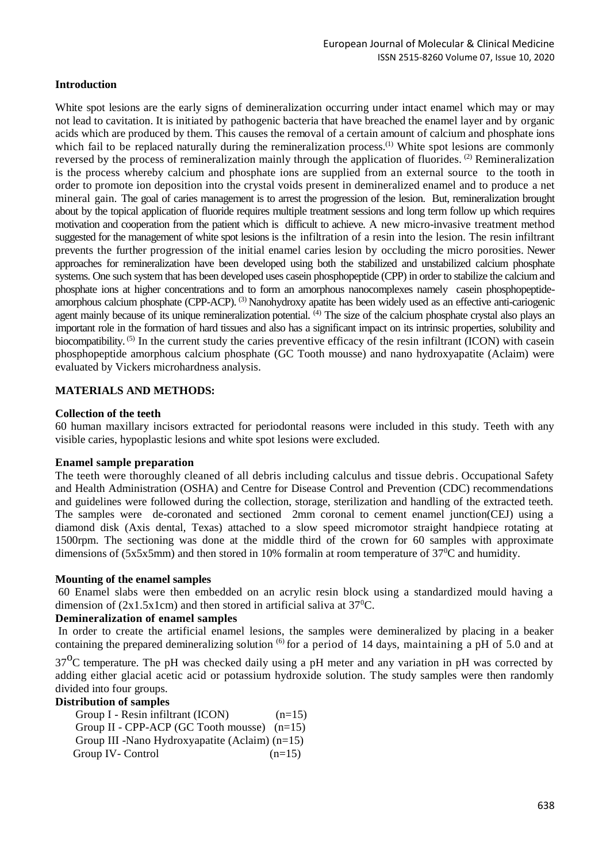#### **Introduction**

White spot lesions are the early signs of demineralization occurring under intact enamel which may or may not lead to cavitation. It is initiated by pathogenic bacteria that have breached the enamel layer and by organic acids which are produced by them. This causes the removal of a certain amount of calcium and phosphate ions which fail to be replaced naturally during the remineralization process.<sup>(1)</sup> White spot lesions are commonly reversed by the process of remineralization mainly through the application of fluorides. (2) Remineralization is the process whereby calcium and phosphate ions are supplied from an external source to the tooth in order to promote ion deposition into the crystal voids present in demineralized enamel and to produce a net mineral gain. The goal of caries management is to arrest the progression of the lesion. But, remineralization brought about by the topical application of fluoride requires multiple treatment sessions and long term follow up which requires motivation and cooperation from the patient which is difficult to achieve. A new micro-invasive treatment method suggested for the management of white spot lesions is the infiltration of a resin into the lesion. The resin infiltrant prevents the further progression of the initial enamel caries lesion by occluding the micro porosities. Newer approaches for remineralization have been developed using both the stabilized and unstabilized calcium phosphate systems. One such system that has been developed uses casein phosphopeptide (CPP) in order to stabilize the calcium and phosphate ions at higher concentrations and to form an amorphous nanocomplexes namely casein phosphopeptideamorphous calcium phosphate (CPP-ACP). <sup>(3)</sup> Nanohydroxy apatite has been widely used as an effective anti-cariogenic agent mainly because of its unique remineralization potential.  $^{(4)}$  The size of the calcium phosphate crystal also plays an important role in the formation of hard tissues and also has a significant impact on its intrinsic properties, solubility and biocompatibility. <sup>(5)</sup> In the current study the caries preventive efficacy of the resin infiltrant (ICON) with casein phosphopeptide amorphous calcium phosphate (GC Tooth mousse) and nano hydroxyapatite (Aclaim) were evaluated by Vickers microhardness analysis.

## **MATERIALS AND METHODS:**

#### **Collection of the teeth**

60 human maxillary incisors extracted for periodontal reasons were included in this study. Teeth with any visible caries, hypoplastic lesions and white spot lesions were excluded.

#### **Enamel sample preparation**

The teeth were thoroughly cleaned of all debris including calculus and tissue debris. Occupational Safety and Health Administration (OSHA) and Centre for Disease Control and Prevention (CDC) recommendations and guidelines were followed during the collection, storage, sterilization and handling of the extracted teeth. The samples were de-coronated and sectioned 2mm coronal to cement enamel junction(CEJ) using a diamond disk (Axis dental, Texas) attached to a slow speed micromotor straight handpiece rotating at 1500rpm. The sectioning was done at the middle third of the crown for 60 samples with approximate dimensions of (5x5x5mm) and then stored in 10% formalin at room temperature of  $37^{\circ}$ C and humidity.

#### **Mounting of the enamel samples**

60 Enamel slabs were then embedded on an acrylic resin block using a standardized mould having a dimension of  $(2x1.5x1cm)$  and then stored in artificial saliva at  $37^{\circ}$ C.

#### **Demineralization of enamel samples**

In order to create the artificial enamel lesions, the samples were demineralized by placing in a beaker containing the prepared demineralizing solution <sup>(6)</sup> for a period of 14 days, maintaining a pH of 5.0 and at

 $37^{\circ}$ C temperature. The pH was checked daily using a pH meter and any variation in pH was corrected by adding either glacial acetic acid or potassium hydroxide solution. The study samples were then randomly divided into four groups.

#### **Distribution of samples**

Group I - Resin infiltrant  $(ICON)$   $(n=15)$ Group II - CPP-ACP (GC Tooth mousse) (n=15) Group III -Nano Hydroxyapatite (Aclaim) (n=15) Group IV- Control  $(n=15)$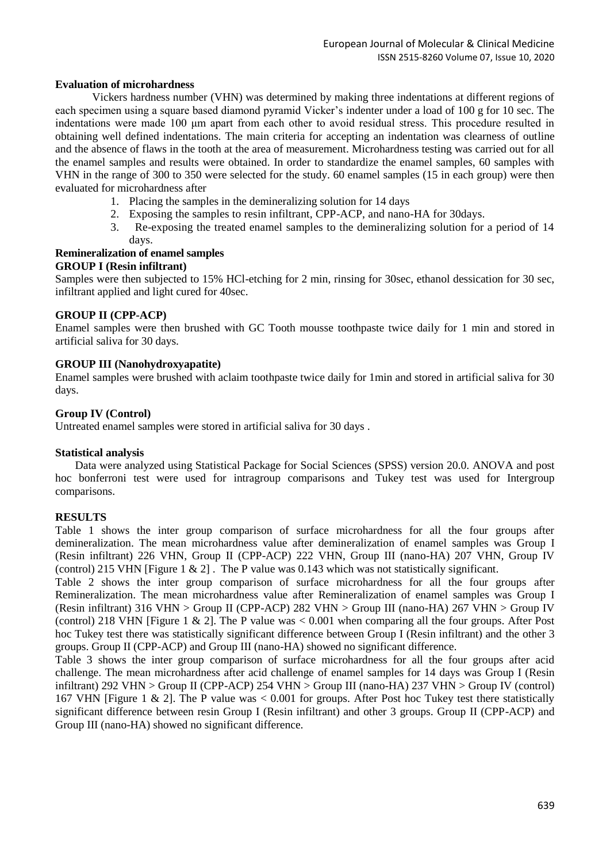#### **Evaluation of microhardness**

Vickers hardness number (VHN) was determined by making three indentations at different regions of each specimen using a square based diamond pyramid Vicker's indenter under a load of 100 g for 10 sec. The indentations were made 100 μm apart from each other to avoid residual stress. This procedure resulted in obtaining well defined indentations. The main criteria for accepting an indentation was clearness of outline and the absence of flaws in the tooth at the area of measurement. Microhardness testing was carried out for all the enamel samples and results were obtained. In order to standardize the enamel samples, 60 samples with VHN in the range of 300 to 350 were selected for the study. 60 enamel samples (15 in each group) were then evaluated for microhardness after

- 1. Placing the samples in the demineralizing solution for 14 days
- 2. Exposing the samples to resin infiltrant, CPP-ACP, and nano-HA for 30days.
- 3. Re-exposing the treated enamel samples to the demineralizing solution for a period of 14 days.

#### **Remineralization of enamel samples GROUP I (Resin infiltrant)**

Samples were then subjected to 15% HCl-etching for 2 min, rinsing for 30sec, ethanol dessication for 30 sec, infiltrant applied and light cured for 40sec.

## **GROUP II (CPP-ACP)**

Enamel samples were then brushed with GC Tooth mousse toothpaste twice daily for 1 min and stored in artificial saliva for 30 days.

## **GROUP III (Nanohydroxyapatite)**

Enamel samples were brushed with aclaim toothpaste twice daily for 1min and stored in artificial saliva for 30 days.

#### **Group IV (Control)**

Untreated enamel samples were stored in artificial saliva for 30 days .

#### **Statistical analysis**

 Data were analyzed using Statistical Package for Social Sciences (SPSS) version 20.0. ANOVA and post hoc bonferroni test were used for intragroup comparisons and Tukey test was used for Intergroup comparisons.

#### **RESULTS**

Table 1 shows the inter group comparison of surface microhardness for all the four groups after demineralization. The mean microhardness value after demineralization of enamel samples was Group I (Resin infiltrant) 226 VHN, Group II (CPP-ACP) 222 VHN, Group III (nano-HA) 207 VHN, Group IV (control) 215 VHN [Figure 1 & 2] . The P value was 0.143 which was not statistically significant.

Table 2 shows the inter group comparison of surface microhardness for all the four groups after Remineralization. The mean microhardness value after Remineralization of enamel samples was Group I (Resin infiltrant) 316 VHN > Group II (CPP-ACP) 282 VHN > Group III (nano-HA) 267 VHN > Group IV (control) 218 VHN [Figure 1  $\&$  2]. The P value was  $< 0.001$  when comparing all the four groups. After Post hoc Tukey test there was statistically significant difference between Group I (Resin infiltrant) and the other 3 groups. Group II (CPP-ACP) and Group III (nano-HA) showed no significant difference.

Table 3 shows the inter group comparison of surface microhardness for all the four groups after acid challenge. The mean microhardness after acid challenge of enamel samples for 14 days was Group I (Resin infiltrant) 292 VHN > Group II (CPP-ACP) 254 VHN > Group III (nano-HA) 237 VHN > Group IV (control) 167 VHN [Figure 1 & 2]. The P value was < 0.001 for groups. After Post hoc Tukey test there statistically significant difference between resin Group I (Resin infiltrant) and other 3 groups. Group II (CPP-ACP) and Group III (nano-HA) showed no significant difference.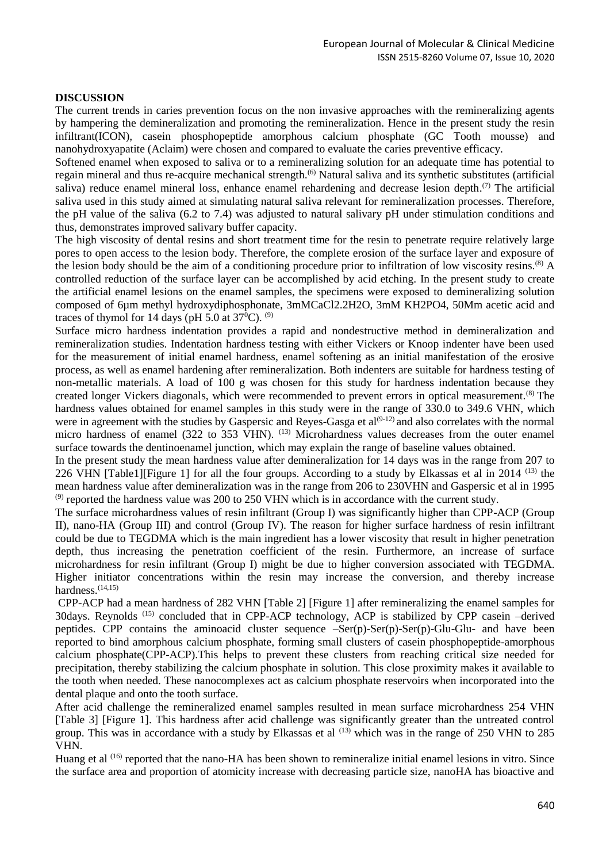#### **DISCUSSION**

The current trends in caries prevention focus on the non invasive approaches with the remineralizing agents by hampering the demineralization and promoting the remineralization. Hence in the present study the resin infiltrant(ICON), casein phosphopeptide amorphous calcium phosphate (GC Tooth mousse) and nanohydroxyapatite (Aclaim) were chosen and compared to evaluate the caries preventive efficacy.

Softened enamel when exposed to saliva or to a remineralizing solution for an adequate time has potential to regain mineral and thus re-acquire mechanical strength.<sup>(6)</sup> Natural saliva and its synthetic substitutes (artificial saliva) reduce enamel mineral loss, enhance enamel rehardening and decrease lesion depth.<sup> $(7)$ </sup> The artificial saliva used in this study aimed at simulating natural saliva relevant for remineralization processes. Therefore, the pH value of the saliva (6.2 to 7.4) was adjusted to natural salivary pH under stimulation conditions and thus, demonstrates improved salivary buffer capacity.

The high viscosity of dental resins and short treatment time for the resin to penetrate require relatively large pores to open access to the lesion body. Therefore, the complete erosion of the surface layer and exposure of the lesion body should be the aim of a conditioning procedure prior to infiltration of low viscosity resins.<sup>(8)</sup> A controlled reduction of the surface layer can be accomplished by acid etching. In the present study to create the artificial enamel lesions on the enamel samples, the specimens were exposed to demineralizing solution composed of 6µm methyl hydroxydiphosphonate, 3mMCaCl2.2H2O, 3mM KH2PO4, 50Mm acetic acid and traces of thymol for 14 days (pH 5.0 at  $37^{\circ}$ C). <sup>(9)</sup>

Surface micro hardness indentation provides a rapid and nondestructive method in demineralization and remineralization studies. Indentation hardness testing with either Vickers or Knoop indenter have been used for the measurement of initial enamel hardness, enamel softening as an initial manifestation of the erosive process, as well as enamel hardening after remineralization. Both indenters are suitable for hardness testing of non-metallic materials. A load of 100 g was chosen for this study for hardness indentation because they created longer Vickers diagonals, which were recommended to prevent errors in optical measurement.(8) The hardness values obtained for enamel samples in this study were in the range of 330.0 to 349.6 VHN, which were in agreement with the studies by Gaspersic and Reyes-Gasga et  $al^{(9-12)}$  and also correlates with the normal micro hardness of enamel (322 to 353 VHN).  $^{(13)}$  Microhardness values decreases from the outer enamel surface towards the dentinoenamel junction, which may explain the range of baseline values obtained.

In the present study the mean hardness value after demineralization for 14 days was in the range from 207 to 226 VHN [Table1][Figure 1] for all the four groups. According to a study by Elkassas et al in 2014<sup>(13)</sup> the mean hardness value after demineralization was in the range from 206 to 230VHN and Gaspersic et al in 1995  $^{(9)}$  reported the hardness value was 200 to 250 VHN which is in accordance with the current study.

The surface microhardness values of resin infiltrant (Group I) was significantly higher than CPP-ACP (Group II), nano-HA (Group III) and control (Group IV). The reason for higher surface hardness of resin infiltrant could be due to TEGDMA which is the main ingredient has a lower viscosity that result in higher penetration depth, thus increasing the penetration coefficient of the resin. Furthermore, an increase of surface microhardness for resin infiltrant (Group I) might be due to higher conversion associated with TEGDMA. Higher initiator concentrations within the resin may increase the conversion, and thereby increase hardness.<sup>(14,15)</sup>

CPP-ACP had a mean hardness of 282 VHN [Table 2] [Figure 1] after remineralizing the enamel samples for 30days. Reynolds<sup>(15)</sup> concluded that in CPP-ACP technology, ACP is stabilized by CPP casein -derived peptides. CPP contains the aminoacid cluster sequence –Ser(p)-Ser(p)-Ser(p)-Glu-Glu- and have been reported to bind amorphous calcium phosphate, forming small clusters of casein phosphopeptide-amorphous calcium phosphate(CPP-ACP).This helps to prevent these clusters from reaching critical size needed for precipitation, thereby stabilizing the calcium phosphate in solution. This close proximity makes it available to the tooth when needed. These nanocomplexes act as calcium phosphate reservoirs when incorporated into the dental plaque and onto the tooth surface.

After acid challenge the remineralized enamel samples resulted in mean surface microhardness 254 VHN [Table 3] [Figure 1]. This hardness after acid challenge was significantly greater than the untreated control group. This was in accordance with a study by Elkassas et al <sup>(13)</sup> which was in the range of 250 VHN to 285 VHN.

Huang et al <sup>(16)</sup> reported that the nano-HA has been shown to remineralize initial enamel lesions in vitro. Since the surface area and proportion of atomicity increase with decreasing particle size, nanoHA has bioactive and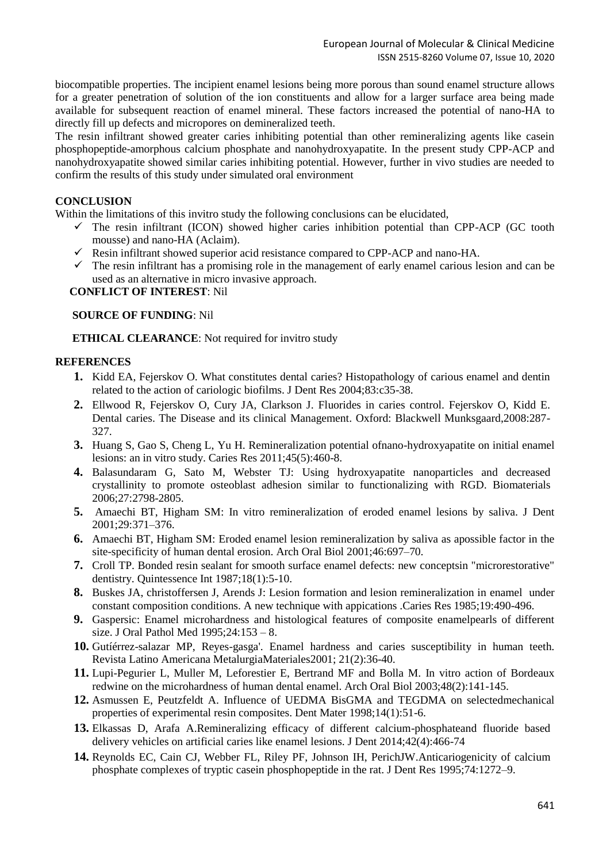biocompatible properties. The incipient enamel lesions being more porous than sound enamel structure allows for a greater penetration of solution of the ion constituents and allow for a larger surface area being made available for subsequent reaction of enamel mineral. These factors increased the potential of nano-HA to directly fill up defects and micropores on demineralized teeth.

The resin infiltrant showed greater caries inhibiting potential than other remineralizing agents like casein phosphopeptide-amorphous calcium phosphate and nanohydroxyapatite. In the present study CPP-ACP and nanohydroxyapatite showed similar caries inhibiting potential. However, further in vivo studies are needed to confirm the results of this study under simulated oral environment

#### **CONCLUSION**

Within the limitations of this invitro study the following conclusions can be elucidated,

- $\checkmark$  The resin infiltrant (ICON) showed higher caries inhibition potential than CPP-ACP (GC tooth mousse) and nano-HA (Aclaim).
- $\checkmark$  Resin infiltrant showed superior acid resistance compared to CPP-ACP and nano-HA.
- $\checkmark$  The resin infiltrant has a promising role in the management of early enamel carious lesion and can be used as an alternative in micro invasive approach.

 **CONFLICT OF INTEREST**: Nil

#### **SOURCE OF FUNDING**: Nil

 **ETHICAL CLEARANCE**: Not required for invitro study

## **REFERENCES**

- **1.** Kidd EA, Fejerskov O. What constitutes dental caries? Histopathology of carious enamel and dentin related to the action of cariologic biofilms. J Dent Res 2004;83:c35-38.
- **2.** Ellwood R, Fejerskov O, Cury JA, Clarkson J. Fluorides in caries control. Fejerskov O, Kidd E. Dental caries. The Disease and its clinical Management. Oxford: Blackwell Munksgaard,2008:287- 327.
- **3.** Huang S, Gao S, Cheng L, Yu H. Remineralization potential ofnano-hydroxyapatite on initial enamel lesions: an in vitro study. Caries Res 2011;45(5):460-8.
- **4.** Balasundaram G, Sato M, Webster TJ: Using hydroxyapatite nanoparticles and decreased crystallinity to promote osteoblast adhesion similar to functionalizing with RGD. Biomaterials 2006;27:2798-2805.
- **5.** Amaechi BT, Higham SM: In vitro remineralization of eroded enamel lesions by saliva. J Dent 2001;29:371–376.
- **6.** Amaechi BT, Higham SM: Eroded enamel lesion remineralization by saliva as apossible factor in the site-specificity of human dental erosion. Arch Oral Biol 2001;46:697–70.
- **7.** Croll TP. Bonded resin sealant for smooth surface enamel defects: new conceptsin "microrestorative" dentistry. Quintessence Int 1987;18(1):5-10.
- **8.** Buskes JA, christoffersen J, Arends J: Lesion formation and lesion remineralization in enamel under constant composition conditions. A new technique with appications .Caries Res 1985;19:490-496.
- **9.** Gaspersic: Enamel microhardness and histological features of composite enamelpearls of different size. J Oral Pathol Med 1995;24:153 – 8.
- **10.** Gutíérrez-salazar MP, Reyes-gasga'. Enamel hardness and caries susceptibility in human teeth. Revista Latino Americana MetalurgiaMateriales2001; 21(2):36-40.
- **11.** Lupi-Pegurier L, Muller M, Leforestier E, Bertrand MF and Bolla M. In vitro action of Bordeaux redwine on the microhardness of human dental enamel. Arch Oral Biol 2003;48(2):141-145.
- **12.** Asmussen E, Peutzfeldt A. Influence of UEDMA BisGMA and TEGDMA on selectedmechanical properties of experimental resin composites. Dent Mater 1998;14(1):51-6.
- **13.** Elkassas D, Arafa A.Remineralizing efficacy of different calcium-phosphateand fluoride based delivery vehicles on artificial caries like enamel lesions. J Dent 2014;42(4):466-74
- **14.** Reynolds EC, Cain CJ, Webber FL, Riley PF, Johnson IH, PerichJW.Anticariogenicity of calcium phosphate complexes of tryptic casein phosphopeptide in the rat. J Dent Res 1995;74:1272–9.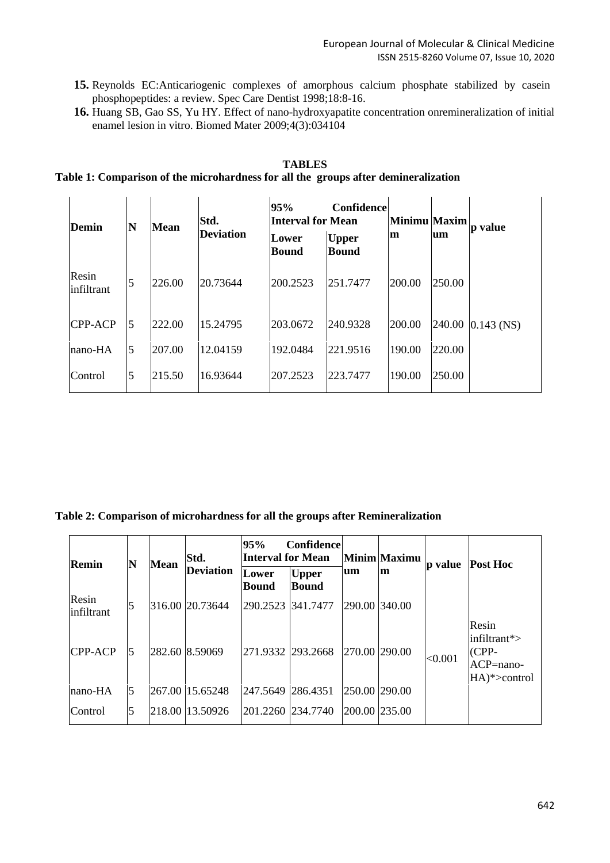- **15.** Reynolds EC:Anticariogenic complexes of amorphous calcium phosphate stabilized by casein phosphopeptides: a review. Spec Care Dentist 1998;18:8-16.
- **16.** Huang SB, Gao SS, Yu HY. Effect of nano-hydroxyapatite concentration onremineralization of initial enamel lesion in vitro. Biomed Mater 2009;4(3):034104

# **TABLES**

# **Table 1: Comparison of the microhardness for all the groups after demineralization**

| Demin               | N | Mean   | Std.<br><b>Deviation</b> | 95%<br><b>Interval for Mean</b> | <b>Confidence</b>            | Minimu Maxim<br>m | um     | p value      |
|---------------------|---|--------|--------------------------|---------------------------------|------------------------------|-------------------|--------|--------------|
|                     |   |        |                          | Lower<br><b>Bound</b>           | <b>Upper</b><br><b>Bound</b> |                   |        |              |
| Resin<br>infiltrant | 5 | 226.00 | 20.73644                 | 200.2523                        | 251.7477                     | 200.00            | 250.00 |              |
| CPP-ACP             | 5 | 222.00 | 15.24795                 | 203.0672                        | 240.9328                     | 200.00            | 240.00 | $0.143$ (NS) |
| nano-HA             | 5 | 207.00 | 12.04159                 | 192.0484                        | 221.9516                     | 190.00            | 220.00 |              |
| Control             | 5 | 215.50 | 16.93644                 | 207.2523                        | 223.7477                     | 190.00            | 250.00 |              |

#### **Table 2: Comparison of microhardness for all the groups after Remineralization**

| Remin               | N | <b>Mean</b> | Std.<br><b>Deviation</b> | 95%<br>Confidence<br><b>Interval for Mean</b> |                              |               | Minim Maximu | p value | <b>Post Hoc</b>                                                        |
|---------------------|---|-------------|--------------------------|-----------------------------------------------|------------------------------|---------------|--------------|---------|------------------------------------------------------------------------|
|                     |   |             |                          | Lower<br><b>Bound</b>                         | <b>Upper</b><br><b>Bound</b> | um            | m            |         |                                                                        |
| Resin<br>infiltrant | 5 |             | 316.00 20.73644          |                                               | 290.2523 341.7477            | 290.00 340.00 |              |         |                                                                        |
| <b>CPP-ACP</b>      | 5 |             | 282.60 8.59069           |                                               | 271.9332 293.2668            | 270.00 290.00 |              | < 0.001 | Resin<br>$\infty$ infiltrant*><br>$(CPP-$<br>ACP=nano-<br>HA)*>control |
| $ $ nano-HA         | 5 |             | 267.00 15.65248          | 247.5649 286.4351                             |                              | 250.00 290.00 |              |         |                                                                        |
| Control             | 5 |             | 218.00 13.50926          |                                               | 201.2260 234.7740            | 200.00 235.00 |              |         |                                                                        |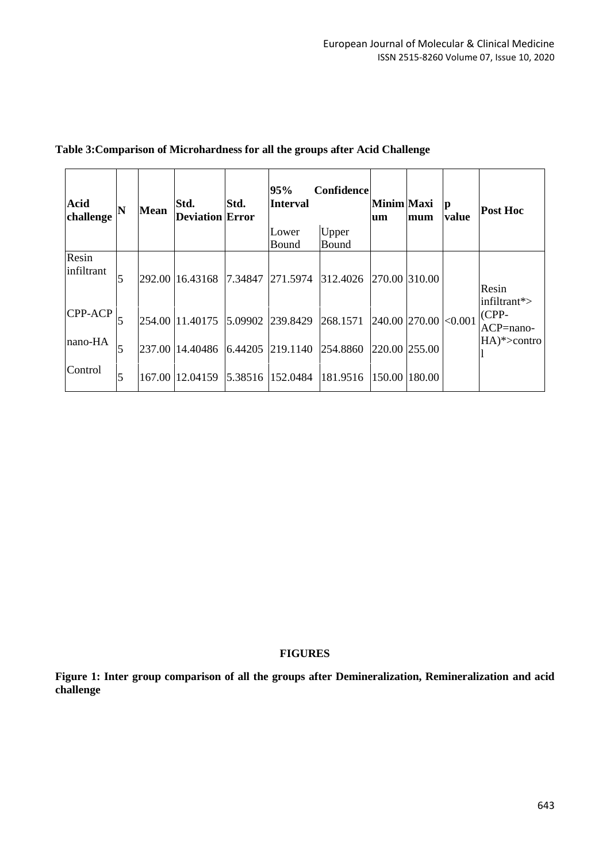| <b>Acid</b><br>challenge | N | <b>Mean</b> | Std.<br><b>Deviation Error</b>   | Std.    | 95%<br><b>Interval</b> | Confidence | Minim Maxi<br>um     | mum    | p<br>value | <b>Post Hoc</b>                 |
|--------------------------|---|-------------|----------------------------------|---------|------------------------|------------|----------------------|--------|------------|---------------------------------|
|                          |   |             |                                  |         | Lower                  | Upper      |                      |        |            |                                 |
|                          |   |             |                                  |         | Bound                  | Bound      |                      |        |            |                                 |
| Resin<br>infiltrant      | 5 |             | 292.00 16.43168                  |         | 7.34847 271.5974       | 312.4026   | 270.00 310.00        |        |            | Resin<br>$\text{infiltrant}$ *> |
| CPP-ACP                  |   |             | 254.00 11.40175 5.09902 239.8429 |         |                        | 268.1571   | 240.00 270.00 <0.001 |        |            | $(CPP-$<br>$ACP =$ nano-        |
| nano-HA                  | 5 | 237.00      | 14.40486                         | 6.44205 | 219.1140               | 254.8860   | 220.00 255.00        |        |            | $HA$ <sup>*</sup> >contro       |
| Control                  | 5 |             | 167.00 12.04159                  | 5.38516 | 152.0484               | 181.9516   | 150.00               | 180.00 |            |                                 |

# **Table 3:Comparison of Microhardness for all the groups after Acid Challenge**

## **FIGURES**

**Figure 1: Inter group comparison of all the groups after Demineralization, Remineralization and acid challenge**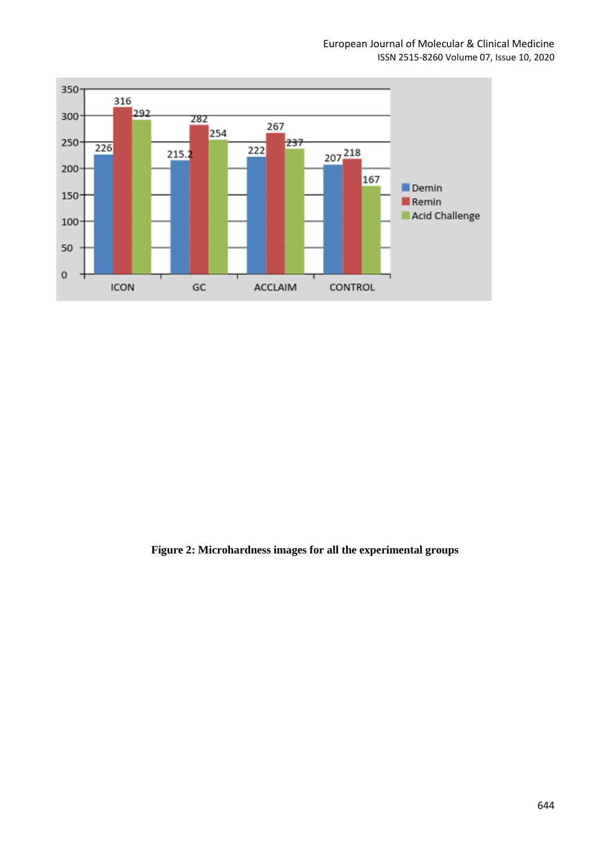

**Figure 2: Microhardness images for all the experimental groups**